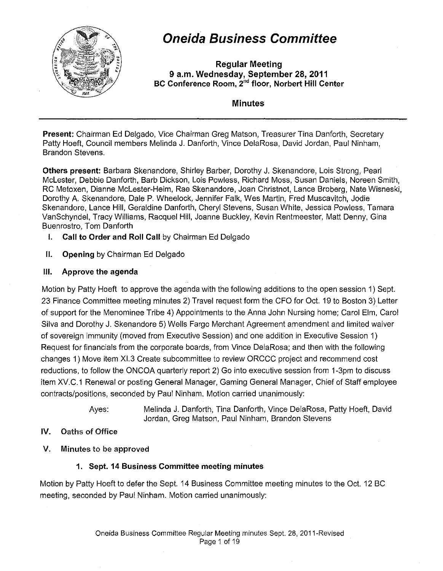

# **Oneida Business Committee**

**Regular Meeting 9 a.m. Wednesday, September 28, 2011 BC Conference Room,** 2"d **floor, Norbert Hill Center** 

**Minutes** 

**Present:** Chairman Ed Delgado, Vice Chairman Greg Matson, Treasurer Tina Danforth, Secretary Patty Hoeft, Council members Melinda J. Danforth, Vince DelaRosa, David Jordan, Paul Ninham, Brandon Stevens.

**Others present:** Barbara Skenandore, Shirley Barber, Dorothy J. Skenandore, Lois Strong, Pearl Mclester, Debbie Danforth, Barb Dickson, Lois Powless, Richard Moss, Susan Daniels, Noreen Smith, RC Metoxen, Dianne Mclester-Heim, Rae Skenandore, Joan Christnot, Lance Broberg, Nate Wisneski, Dorothy A. Skenandore, Dale P. Wheelock, Jennifer Falk, Wes Martin, Fred Muscavitch, Jodie Skenandore, Lance Hill, Geraldine Danforth, Cheryl Stevens, Susan White, Jessica Powless, Tamara VanSchyndel, Tracy Williams, Racquel Hill, Joanne Buckley, Kevin Rentmeester, Matt Denny, Gina Buenrostro, Tom Danforth

- **I.** Call to Order and Roll Call by Chairman Ed Delgado
- **II. Opening** by Chairman Ed Delgado

#### **Ill. Approve the agenda**

Motion by Patty Hoeft to approve the agenda with the following additions to the open session 1) Sept. 23 Finance Committee meeting minutes 2) Travel request form the CFO for Oct. 19 to Boston 3) Letter of support for the Menominee Tribe 4) Appointments to the Anna John Nursing home; Carol Elm, Carol Silva and Dorothy J. Skenandore 5) Wells Fargo Merchant Agreement amendment and limited waiver of sovereign immunity (moved from Executive Session) and one addition in Executive Session 1) Request for financials from the corporate boards, from Vince DelaRosa; and then with the following changes 1) Move item Xl.3 Create subcommittee to review OR CCC project and recommend cost reductions, to follow the ONCOA quarterly report 2) Go into executive session from 1-3pm to discuss item XV.C.1 Renewal or posting General Manager, Gaming General Manager, Chief of Staff employee contracts/positions, seconded by Paul Ninham. Motion carried unanimously:

> Ayes: Melinda J. Danforth, Tina Danforth, Vince DelaRosa, Patty Hoeft, David Jordan, Greg Matson, Paul Ninham, Brandon Stevens

#### **IV.** Oaths of Office

V. Minutes to be approved

## **1. Sept. 14 Business Committee meeting minutes**

Motion by Patty Hoeft to defer the Sept. 14 Business Committee meeting minutes to the Oct. 12 BC meeting, seconded by Paul Ninham. Motion carried unanimously: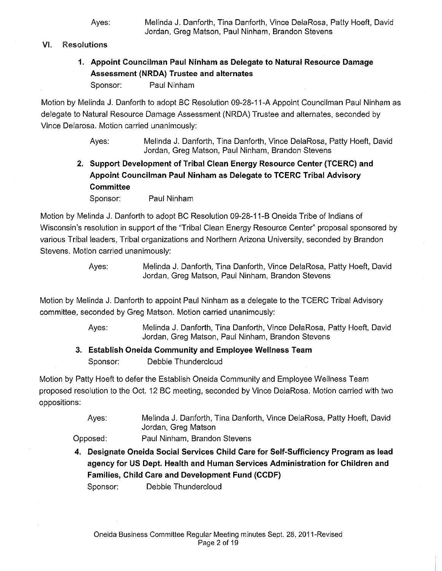#### **VI.** Resolutions

**1. Appoint Councilman Paul Ninham as Delegate to Natural Resource Damage Assessment (NRDA) Trustee and alternates** 

Sponsor: Paul Ninham

Motion by Melinda J. Danforth to adopt BC Resolution 09-28-11-A Appoint Councilman Paul Ninham as delegate to Natural Resource Damage Assessment (NRDA) Trustee and alternates, seconded by Vince Delarosa. Motion carried unanimously:

> Ayes: Melinda J. Danforth, Tina Danforth, Vince DelaRosa, Patty Hoeft, David Jordan, Greg Matson, Paul Ninham, Brandon Stevens

**2. Support Development of Tribal Clean Energy Resource Center (TCERC) and Appoint Councilman Paul Ninham as Delegate to TCERC Tribal Advisory Committee** 

Sponsor: Paul Ninham

Motion by Melinda J. Danforth to adopt BC Resolution 09-28-11-B Oneida Tribe of Indians of Wisconsin's resolution in support of the 'Tribal Clean Energy Resource Center" proposal sponsored by various Tribal leaders, Tribal organizations and Northern Arizona University, seconded by Brandon Stevens. Motion carried unanimously:

> Ayes: Melinda J. Danforth, Tina Danforth, Vince DelaRosa, Patty Hoeft, David Jordan, Greg Matson, Paul Ninham, Brandon Stevens

Motion by Melinda J. Danforth to appoint Paul Ninham as a delegate to the TCERC Tribal Advisory committee, seconded by Greg Matson. Motion carried unanimously:

- Ayes: Melinda J. Danforth, Tina Danforth, Vince DelaRosa, Patty Hoeft, David Jordan, Greg Matson, Paul Ninham, Brandon Stevens
- **3. Establish Oneida Community and Employee Wellness Team**  Sponsor: Debbie Thundercloud

Motion by Patty Hoeft to defer the Establish Oneida Community and Employee Wellness Team proposed resolution to the Oct 12 BC meeting, seconded by Vince DelaRosa. Motion carried with two oppositions:

> Ayes: Melinda J. Danforth, Tina Danforth, Vince DelaRosa, Patty Hoeft, David Jordan, Greg Matson

- Opposed: Paul Ninham, Brandon Stevens
- **4. Designate Oneida Social Services Child Care for Self-Sufficiency Program as lead agency for US Dept. Health and Human Services Administration for Children and Families, Child Care and Development Fund (CCDF)**

Sponsor: Debbie Thundercloud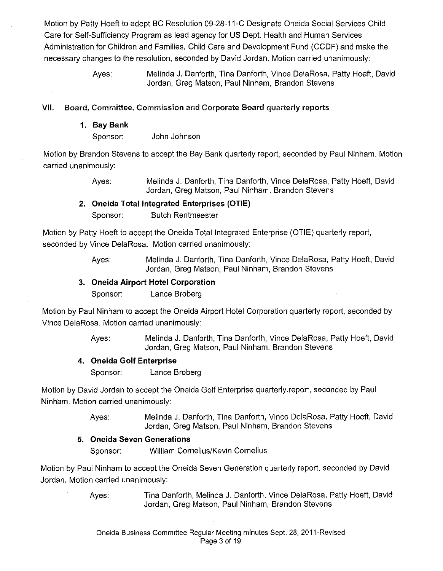Motion by Patty Hoeft to adopt BC Resolution 09-28-11-C Designate Oneida Social Services Child Care for Self-Sufficiency Program as lead agency for US Dept. Health and Human Services Administration for Children and Families, Child Care and Development Fund (CCDF) and make the necessary changes to the resolution, seconded by David Jordan. Motion carried unanimously:

> Ayes: Melinda J. Danforth, Tina Danforth, Vince DelaRosa, Patty Hoeft, David Jordan, Greg Matson, Paul Ninham, Brandon Stevens

#### **VII.** Board, Committee, Commission and Corporate Board quarterly reports

**1. Bay Bank** 

Sponsor: John Johnson

Motion by Brandon Stevens to accept the Bay Bank quarterly report, seconded by Paul Ninham. Motion carried unanimously:

> Ayes: Melinda J. Danforth, Tina Danforth, Vince DelaRosa, Patty Hoeft, David Jordan, Greg Matson, Paul Ninham, Brandon Stevens

#### **2. Oneida Total Integrated Enterprises (OTIE)**  Sponsor: Butch Rentmeester

Motion by Patty Hoeft to accept the Oneida Total Integrated Enterprise (OTIE) quarterly report, seconded by Vince DelaRosa. Motion carried unanimously:

> Ayes: Melinda J. Danforth, Tina Danforth, Vince DelaRosa, Patty Hoeft, David Jordan, Greg Matson, Paul Ninham, Brandon Stevens

#### **3. Oneida Airport Hotel Corporation**

Sponsor: Lance Broberg

Motion by Paul Ninham to accept the Oneida Airport Hotel Corporation quarterly report, seconded by Vince DelaRosa. Motion carried unanimously:

> Ayes: Melinda J. Danforth, Tina Danforth, Vince DelaRosa, Patty Hoeft, David Jordan, Greg Matson, Paul Ninham, Brandon Stevens

## **4. Oneida Golf Enterprise**

Sponsor: Lance Broberg

Motion by David Jordan to accept the Oneida Golf Enterprise quarterly report, seconded by Paul Ninham. Motion carried unanimously:

> Ayes: Melinda J. Danforth, Tina Danforth, Vince DelaRosa, Patty Hoeft, David Jordan, Greg Matson, Paul Ninham, Brandon Stevens

## **5. Oneida Seven Generations**

Sponsor: William Cornelius/Kevin Cornelius

Motion by Paul Ninham to accept the Oneida Seven Generation quarterly report, seconded by David Jordan. Motion carried unanimously: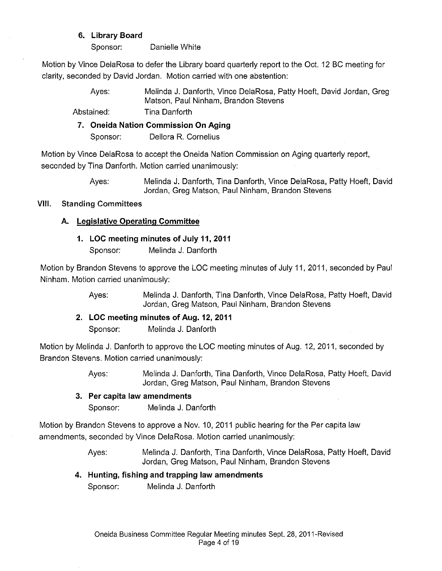#### **6. Library Board**

Sponsor: Danielle White

Motion by Vince DelaRosa to defer the Library board quarterly report to the Oct. 12 BC meeting for clarity, seconded by David Jordan. Motion carried with one abstention:

> Ayes: Melinda J. Danforth, Vince DelaRosa, Patty Hoeft, David Jordan, Greg Matson, Paul Ninham, Brandon Stevens

Abstained: Tina Danforth

**7. Oneida Nation Commission On Aging** 

Sponsor: Dellora R. Cornelius

Motion by Vince DelaRosa to accept the Oneida Nation Commission on Aging quarterly report, seconded by Tina Danforth. Motion carried unanimously:

> Ayes: Melinda J. Danforth, Tina Danforth, Vince DelaRosa, Patty Hoeft, David Jordan, Greg Matson, Paul Ninham, Brandon Stevens

#### VIII. Standing Committees

## **A. Legislative Operating Committee**

#### **1. LOC meeting minutes of July 11, 2011**

Sponsor: Melinda J. Danforth

Motion by Brandon Stevens to approve the LOG meeting minutes of July 11, 2011, seconded by Paul Ninham. Motion carried unanimously:

> Ayes: Melinda J. Danforth, Tina Danforth, Vince DelaRosa, Patty Hoeft, David Jordan, Greg Matson, Paul Ninham, Brandon Stevens

**2. LOC meeting minutes of Aug. 12, 2011** 

Sponsor: Melinda J. Danforth

Motion by Melinda J. Danforth to approve the LOG meeting minutes of Aug. 12, 2011, seconded by Brandon Stevens. Motion carried unanimously:

> Ayes: Melinda J. Danforth, Tina Danforth, Vince DelaRosa, Patty Hoeft, David Jordan, Greg Matson, Paul Ninham, Brandon Stevens

#### **3. Per capita law amendments**

Sponsor: Melinda J. Danforth

Motion by Brandon Stevens to approve a Nov. 10, 2011 public hearing for the Per capita law amendments, seconded by Vince DelaRosa. Motion carried unanimously:

> Ayes: Melinda J. Danforth, Tina Danforth, Vince DelaRosa, Patty Hoeft, David Jordan, Greg Matson, Paul Ninham, Brandon Stevens

## **4. Hunting, fishing and trapping law amendments**

Sponsor: Melinda J. Danforth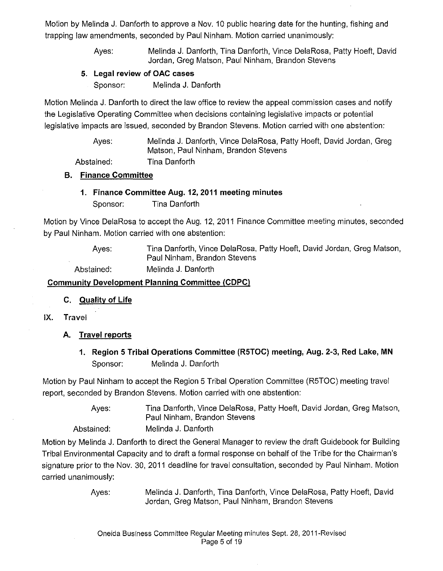Motion by Melinda J. Danforth to approve a Nov. 10 public hearing date for the hunting, fishing and trapping law amendments, seconded by Paul Ninham. Motion carried unanimously:

> Ayes: Melinda J. Danforth, Tina Danforth, Vince DelaRosa, Patty Hoeft, David Jordan, Greg Matson, Paul Ninham, Brandon Stevens

#### **5. Legal review of OAC cases**

Sponsor: Melinda J. Danforth

Motion Melinda J. Danforth to direct the law office to review the appeal commission cases and notify the Legislative Operating Committee when decisions containing legislative impacts or potential legislative impacts are issued, seconded by Brandon Stevens. Motion carried with one abstention:

> Ayes: Melinda J. Danforth, Vince DelaRosa, Patty Hoeft, David Jordan, Greg Matson, Paul Ninham, Brandon Stevens

Abstained: Tina Danforth

#### **B. Finance Committee**

**1. Finance Committee Aug. 12,2011 meeting minutes**  Sponsor: Tina Danforth

Motion by Vince DelaRosa to accept the Aug. 12, 2011 Finance Committee meeting minutes, seconded by Paul Ninham. Motion carried with one abstention:

> Ayes: Tina Danforth, Vince DelaRosa, Patty Hoeft, David Jordan, Greg Matson, Paul Ninham, Brandon Stevens

Abstained: Melinda J. Danforth

#### **Community Development Planning Committee (CDPC)**

- **C. Quality of Life**
- IX. Travel
	- **A. Travel reports** 
		- **1. Region 5 Tribal Operations Committee (R5TOC) meeting, Aug. 2-3, Red Lake, MN**  Sponsor: Melinda J. Danforth

Motion by Paul Ninham to accept the Region 5 Tribal Operation Committee (R5TOC) meeting travel report, seconded by Brandon Stevens. Motion carried with one abstention:

> Ayes: Tina Danforth, Vince DelaRosa, Patty Hoeft, David Jordan, Greg Matson, Paul Ninham, Brandon Stevens

Abstained: Melinda J. Danforth

Motion by Melinda J. Danforth to direct the General Manager to review the draft Guidebook for Building Tribal Environmental Capacity and to draft a formal response on behalf of the Tribe for the Chairman's signature prior to the Nov. 30, 2011 deadline for travel consultation, seconded by Paul Ninham. Motion carried unanimously: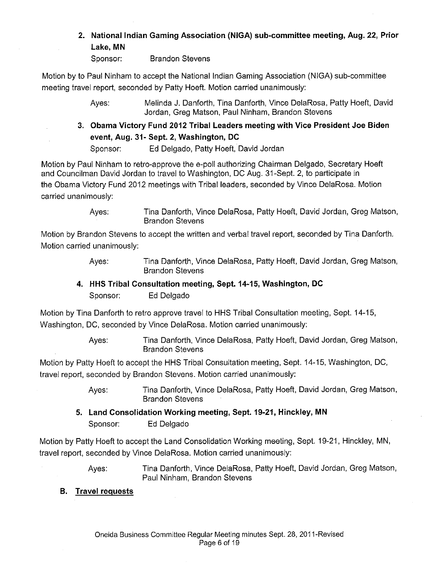#### **2. National Indian Gaming Association (NIGA) sub-committee meeting, Aug.** 22, **Prior Lake, MN**

Sponsor: Brandon Stevens

Motion by to Paul Ninham to accept the National Indian Gaming Association (NIGA) sub-committee meeting travel report, seconded by Patty Hoeft. Motion carried unanimously:

> Ayes: Melinda J. Danforth, Tina Danforth, Vince DelaRosa, Patty Hoeft, David Jordan, Greg Matson, Paul Ninham, Brandon Stevens

3. **Obama Victory Fund 2012 Tribal Leaders meeting with Vice President Joe Biden event, Aug. 31- Sept. 2, Washington, DC** 

Sponsor: Ed Delgado, Patty Hoeft, David Jordan

Motion by Paul Ninham to retro-approve the e-poll authorizing Chairman Delgado, Secretary Hoeft and Councilman David Jordan to travel to Washington, DC Aug. 31-Sept. 2, to participate in the Obama Victory Fund 2012 meetings with Tribal leaders, seconded by Vince DelaRosa. Motion carried unanimously:

> Ayes: Tina Danforth, Vince DelaRosa, Patty Hoeft, David Jordan, Greg Matson, Brandon Stevens

Motion by Brandon Stevens to accept the written and verbal travel report, seconded by Tina Danforth. Motion carried unanimously:

- Ayes: Tina Danforth, Vince DelaRosa, Patty Hoeft, David Jordan, Greg Matson, Brandon Stevens
- **4. HHS Tribal Consultation meeting, Sept. 14-15, Washington, DC**  Sponsor: Ed Delgado

Motion by Tina Danforth to retro approve travel to HHS Tribal Consultation meeting, Sept. 14-15, Washington, DC, seconded by Vince DelaRosa. Motion carried unanimously:

> Ayes: Tina Danforth, Vince DelaRosa, Patty Hoeft, David Jordan, Greg Matson, Brandon Stevens

Motion by Patty Hoeft to accept the HHS Tribal Consultation meeting, Sept. 14-15, Washington, DC, travel report, seconded by Brandon Stevens. Motion carried unanimously:

> Ayes: Tina Danforth, Vince DelaRosa, Patty Hoeft, David Jordan, Greg Matson, Brandon Stevens

**5. Land Consolidation Working meeting, Sept. 19-21, Hinckley, MN**  Sponsor: Ed Delgado

Motion by Patty Hoeft to accept the Land Consolidation Working meeting, Sept. 19-21, Hinckley, MN, travel report, seconded by Vince DelaRosa. Motion carried unanimously:

> Ayes: Tina Danforth, Vince DelaRosa, Patty Hoeft, David Jordan, Greg Matson, Paul Ninham, Brandon Stevens

**B. Travel requests**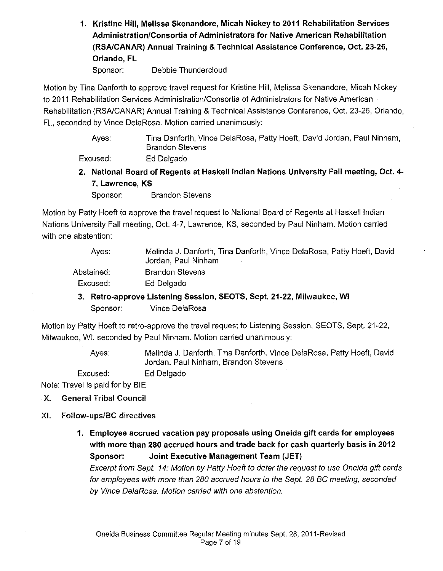**1. Kristine Hill, Melissa Skenandore, Micah Nickey to 2011 Rehabilitation Services Administration/Consortia of Administrators for Native American Rehabilitation (RSAICANAR) Annual Training & Technical Assistance Conference, Oct. 23-26, Orlando, FL** 

Sponsor: Debbie Thundercloud

Motion by Tina Danforth to approve travel request for Kristine Hill, Melissa Skenandore, Micah Nickey to 2011 Rehabilitation Services Administration/Consortia of Administrators for Native American Rehabilitation (RSA/CANAR) Annual Training & Technical Assistance Conference, Oct. 23-26, Orlando, FL, seconded by Vince DelaRosa. Motion carried unanimously:

> Ayes: Tina Danforth, Vince DelaRosa, Patty Hoeft, David Jordan, Paul Ninham, Brandon Stevens

Excused: Ed Delgado

**2. National Board of Regents at Haskell Indian Nations University Fall meeting, Oct. 4- 7, Lawrence, KS** 

Sponsor: Brandon Stevens

Motion by Patty Hoeft to approve the travel request to National Board of Regents at Haskell Indian Nations University Fall meeting, Oct. 4-7, Lawrence, KS, seconded by Paul Ninham. Motion carried with one abstention:

| Aves:                                                                 | Melinda J. Danforth, Tina Danforth, Vince DelaRosa, Patty Hoeft, David<br>Jordan, Paul Ninham |  |
|-----------------------------------------------------------------------|-----------------------------------------------------------------------------------------------|--|
| Abstained:                                                            | <b>Brandon Stevens</b>                                                                        |  |
| Excused:                                                              | Ed Delgado                                                                                    |  |
| 3. Retro-approve Listening Session, SEOTS, Sept. 21-22, Milwaukee, WI |                                                                                               |  |

Sponsor: Vince DelaRosa

Motion by Patty Hoeft to retro-approve the travel request to Listening Session, SEOTS, Sept. 21-22, Milwaukee, WI, seconded by Paul Ninham. Motion carried unanimously:

> Ayes: Melinda J. Danforth, Tina Danforth, Vince DelaRosa, Patty Hoeft, David Jordan, Paul Ninham, Brandon Stevens

Excused: Ed Delgado

Note: Travel is paid for by BIE

- X. General Tribal **Council**
- XI. Follow-ups/BC directives
	- **1. Employee accrued vacation pay proposals using Oneida gift cards for employees with more than 280 accrued hours and trade back for cash quarterly basis in 2012 Sponsor: Joint Executive Management Team (JET)**

Excerpt from Sept. 14: Motion by Patty Hoeft to defer the request to use Oneida gift cards for employees with more than 280 accrued hours to the Sept. 28 BC meeting, seconded by Vince DelaRosa. Motion carried with one abstention.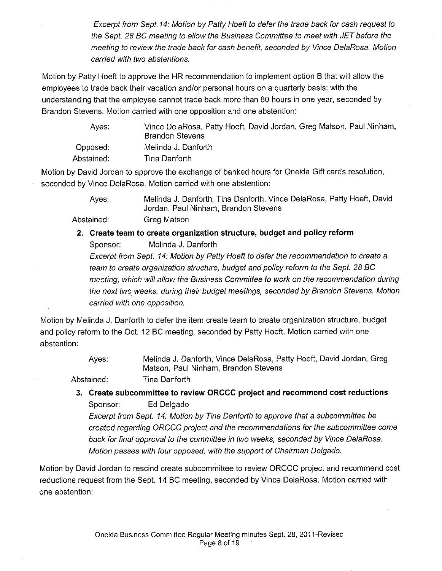Excerpt from Sept. 14: Motion by Patty Hoeft to defer the trade back for cash request to the Sept. 28 BC meeting to allow the Business Committee to meet with JET before the meeting to review the trade back for cash benefit, seconded by Vince DelaRosa. Motion carried with two abstentions.

Motion by Patty Hoeft to approve the HR recommendation to implement option B that will allow the employees to trade back their vacation and/or personal hours on a quarterly basis; with the understanding that the employee cannot trade back more than 80 hours in one year, seconded by Brandon Stevens. Motion carried with one opposition and one abstention:

| Aves:      | Vince DelaRosa, Patty Hoeft, David Jordan, Greg Matson, Paul Ninham,<br><b>Brandon Stevens</b> |
|------------|------------------------------------------------------------------------------------------------|
| Opposed:   | Melinda J. Danforth                                                                            |
| Abstained: | Tina Danforth                                                                                  |

Motion by David Jordan to approve the exchange of banked hours for Oneida Gift cards resolution, seconded by Vince DelaRosa. Motion carried with one abstention:

> Ayes: Melinda J. Danforth, Tina Danforth, Vince DelaRosa, Patty Hoeft, David Jordan, Paul Ninham, Brandon Stevens

Abstained: Greg Matson

**2. Create team to create organization structure, budget and policy reform**  Sponsor: Melinda J. Danforth Excerpt from Sept. 14: Motion by Patty Hoeft to defer the recommendation to create a team to create organization structure, budget and policy reform to the Sept. 28 BC

meeting, which will allow the Business Committee to work on the recommendation during the next two weeks, during their budget meetings, seconded by Brandon Stevens. Motion carried with one opposition.

Motion by Melinda J. Danforth to defer the item create team to create organization structure, budget and policy reform to the Oct. 12 BC meeting, seconded by Patty Hoeft. Motion carried with one abstention:

> Ayes: Melinda J. Danforth, Vince DelaRosa, Patty Hoeft, David Jordan, Greg Matson, Paul Ninham, Brandon Stevens

Abstained: Tina Danforth

**3. Create subcommittee to review OR CCC project and recommend cost reductions**  Sponsor: Ed Delgado

Excerpt from Sept. 14: Motion by Tina Danforth to approve that a subcommittee be created regarding ORCCC project and the recommendations for the subcommittee come back for final approval to the committee in two weeks, seconded by Vince DelaRosa. Motion passes with four opposed, with the support of Chairman Delgado.

Motion by David Jordan to rescind create subcommittee to review OR CCC project and recommend cost reductions request from the Sept. 14 BC meeting, seconded by Vince DelaRosa. Motion carried with one abstention: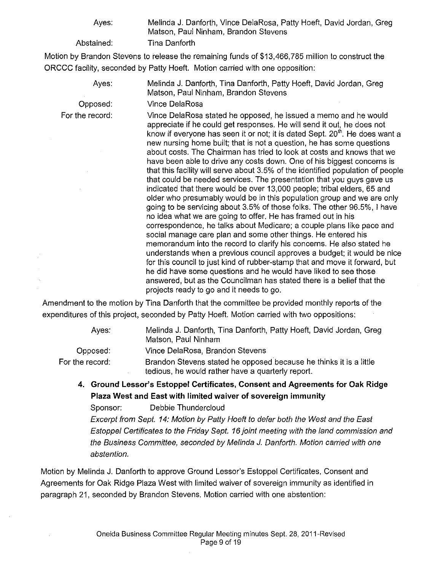Ayes:

Abstained:

Melinda J. Danforth, Vince DelaRosa, Patty Hoeft, David Jordan, Greg Matson, Paul Ninham, Brandon Stevens Tina Danforth

Motion by Brandon Stevens to release the remaining funds of \$13,466,785 million to construct the ORCCC facility, seconded by Patty Hoeft. Motion carried with one opposition:

> Ayes: Melinda J. Danforth, Tina Danforth, Patty Hoeft, David Jordan, Greg Matson, Paul Ninham, Brandon Stevens

Vince DelaRosa

For the record:

Opposed:

Vince DelaRosa stated he opposed, he issued a memo and he would appreciate if he could get responses. He will send it out, he does not know if everyone has seen it or not; it is dated Sept. 20<sup>th</sup>. He does want a new nursing home built; that is not a question, he has some questions about costs. The Chairman has tried to look at costs and knows that we have been able to drive any costs down. One of his biggest concerns is that this facility will serve about 3.5% of the identified population of people that could be needed services. The presentation that you guys gave us indicated that there would be over 13,000 people; tribal elders, 65 and older who presumably would be in this population group and we are only going to be servicing about 3.5% of those folks. The other 96.5%, I have no idea what we are going to offer. He has framed out in his correspondence, he talks about Medicare; a couple plans like pace and social manage care plan and some other things. He entered his memorandum into the record to clarify his concerns. He also stated he understands when a previous council approves a budget; it would be nice for this council to just kind of rubber-stamp that and move it forward, but he did have some questions and he would have liked to see those answered, but as the Councilman has stated there is a belief that the projects ready to go and it needs to go.

Amendment to the motion by Tina Danforth that the committee be provided monthly reports of the expenditures of this project, seconded by Patty Hoeft. Motion carried with two oppositions:

Ayes:

Opposed:

Melinda J. Danforth, Tina Danforth, Patty Hoeft, David Jordan, Greg Matson, Paul Ninham

Vince DelaRosa, Brandon Stevens

For the record: Brandon Stevens stated he opposed because he thinks it is a little tedious, he would rather have a quarterly report.

**4. Ground Lessor's Estoppel Certificates, Consent and Agreements for Oak Ridge Plaza West and East with limited waiver of sovereign immunity** 

Sponsor: Debbie Thundercloud

Excerpt from Sept. 14: Motion by Patty Hoeft to defer both the West and the East Estoppel Certificates to the Friday Sept. 16 joint meeting with the land commission and the Business Committee, seconded by Melinda *J.* Danforth. Motion carried with one abstention.

Motion by Melinda J. Danforth to approve Ground Lessor's Estoppel Certificates, Consent and Agreements for Oak Ridge Plaza West with limited waiver of sovereign immunity as identified in paragraph 21, seconded by Brandon Stevens. Motion carried with one abstention: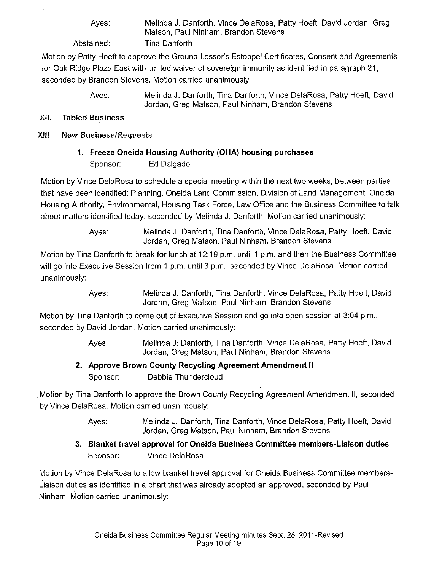Ayes:

Melinda J. Danforth, Vince DelaRosa, Patty Hoeft, David Jordan, Greg Matson, Paul Ninham, Brandon Stevens Tina Danforth

Abstained:

Motion by Patty Hoeft to approve the Ground Lessor's Estoppel Certificates, Consent and Agreements for Oak Ridge Plaza East with limited waiver of sovereign immunity as identified in paragraph 21, seconded by Brandon Stevens. Motion carried unanimously:

> Ayes: Melinda J. Danforth, Tina Danforth, Vince DelaRosa, Patty Hoeft, David Jordan, Greg Matson, Paul Ninham, Brandon Stevens

#### XII. Tabled **Business**

#### XIII. New Business/Requests

**1. Freeze Oneida Housing Authority (OHA) housing purchases**  Sponsor: Ed Delgado

Motion by Vince DelaRosa to schedule a special meeting within the next two weeks, between parties that have been identified; Planning, Oneida Land Commission, Division of Land Management, Oneida Housing Authority, Environmental, Housing Task Force, Law Office and the Business Committee to talk about matters identified today, seconded by Melinda J. Danforth. Motion carried unanimously:

> Ayes: Melinda J. Danforth, Tina Danforth, Vince DelaRosa, Patty Hoeft, David Jordan, Greg Matson, Paul Ninham, Brandon Stevens

Motion by Tina Danforth to break for lunch at 12:19 p.m. until 1 p.m. and then the Business Committee will go into Executive Session from 1 p.m. until 3 p.m., seconded by Vince DelaRosa. Motion carried unanimously:

> Ayes: Melinda J. Danforth, Tina Danforth, Vince DelaRosa, Patty Hoeft, David Jordan, Greg Matson, Paul Ninham, Brandon Stevens

Motion by Tina Danforth to come out of Executive Session and go into open session at 3:04 p.m., seconded by David Jordan. Motion carried unanimously:

> Ayes: Melinda J: Danforth, Tina Danforth, Vince DelaRosa, Patty Hoeft, David Jordan, Greg Matson, Paul Ninham, Brandon Stevens

## **2. Approve Brown County Recycling Agreement Amendment II**

Sponsor: Debbie Thundercloud

Motion by Tina Danforth to approve the Brown County Recycling Agreement Amendment II, seconded by Vince DelaRosa. Motion carried unanimously:

- Ayes: Melinda J. Danforth, Tina Danforth, Vince DelaRosa, Patty Hoeft, David Jordan, Greg Matson, Paul Ninham, Brandon Stevens
- **3. Blanket travel approval for Oneida Business Committee members-Liaison duties**  Sponsor: Vince DelaRosa

Motion by Vince DelaRosa to allow blanket travel approval for Oneida Business Committee members-Liaison duties as identified in a chart that was already adopted an approved, seconded by Paul Ninham. Motion carried unanimously: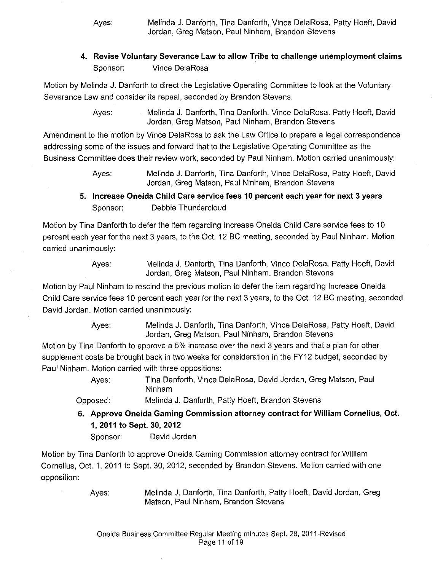Ayes: Melinda J. Danforth, Tina Danforth, Vince DelaRosa, Patty Hoeft, David Jordan, Greg Matson, Paul Ninham, Brandon Stevens

## **4. Revise Voluntary Severance Law to allow Tribe to challenge unemployment claims**  Sponsor: Vince DelaRosa

Motion by Melinda J. Danforth to direct the Legislative Operating Committee to look at the Voluntary Severance Law and consider its repeal, seconded by Brandon Stevens.

> Ayes: Melinda J. Danforth, Tina Danforth, Vince DelaRosa, Patty Hoeft, David Jordan, Greg Matson, Paul Ninham, Brandon Stevens

Amendment to the motion by Vince DelaRosa to ask the Law Office to prepare a legal correspondence addressing some of the issues and forward that to the Legislative Operating Committee as the Business Committee does their review work, seconded by Paul Ninham. Motion carried unanimously:

> Ayes: Melinda J. Danforth, Tina Danforth, Vince DelaRosa, Patty Hoeft, David Jordan, Greg Matson, Paul Ninham, Brandon Stevens

## **5. Increase Oneida Child Care service fees 10 percent each year for next 3 years**  Sponsor: Debbie Thundercloud

Motion by Tina Danforth to defer the item regarding Increase Oneida Child Care service fees to 10 percent each year for the next 3 years, to the Oct. 12 BC meeting, seconded by Paul Ninham. Motion carried unanimously:

Ayes: Melinda J. Danforth, Tina Danforth, Vince DelaRosa, Patty Hoeft, David Jordan, Greg Matson, Paul Ninham, Brandon Stevens

Motion by Paul Ninham to rescind the previous motion to defer the item regarding Increase Oneida Child Care service fees 10 percent each year for the next 3 years, to the Oct. 12 BC meeting, seconded David Jordan. Motion carried unanimously:

> Ayes: Melinda J. Danforth, Tina Danforth, Vince DelaRosa, Patty Hoeft, David Jordan, Greg Matson, Paul Ninham, Brandon Stevens

Motion by Tina Danforth to approve a 5% increase over the next 3 years and that a plan for other supplement costs be brought back in two weeks for consideration in the FY12 budget, seconded by Paul Ninham. Motion carried with three oppositions:

> Ayes: Tina Danforth, Vince DelaRosa, David Jordan, Greg Matson, Paul Ninham

Opposed: Melinda J. Danforth, Patty Hoeft, Brandon Stevens

**6. Approve Oneida Gaming Commission attorney contract for William Cornelius, Oct. 1, 2011 to Sept. 30, 2012** 

Sponsor: David Jordan

Motion by Tina Danforth to approve Oneida Gaming Commission attorney contract for William Cornelius, Oct. 1, 2011 to Sept. 30, 2012, seconded by Brandon Stevens. Motion carried with one opposition: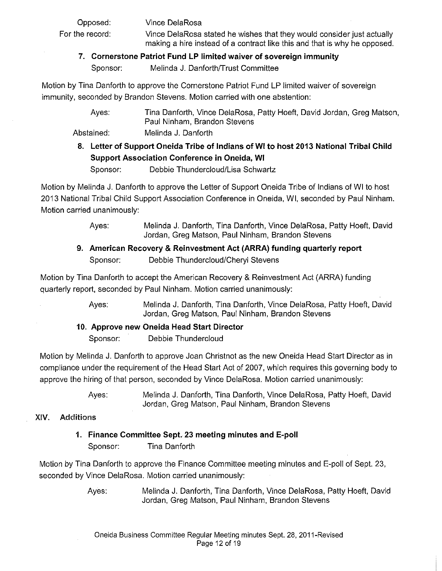Opposed: For the record: Vince DelaRosa Vince DelaRosa stated he wishes that they would consider just actually making a hire instead of a contract like this and that is why he opposed.

#### **7. Cornerstone Patriot Fund LP limited waiver of sovereign immunity**

Sponsor: Melinda J. Danforth/Trust Committee

Motion by Tina Danforth *to* approve the Cornerstone Patriot Fund LP limited waiver of sovereign immunity, seconded by Brandon Stevens. Motion carried with one abstention:

> Ayes: Tina Danforth, Vince DelaRosa, Patty Hoeft, David Jordan, Greg Matson, Paul Ninham, Brandon Stevens

Abstained: Melinda J. Danforth

**8. Letter of Support Oneida Tribe of Indians of WI to host 2013 National Tribal Child Support Association Conference in Oneida, WI** 

Sponsor: Debbie Thundercloud/Lisa Schwartz

Motion by Melinda J. Danforth *to* approve the Letter of Support Oneida Tribe of Indians of WI *to* host 2013 National Tribal Child Support Association Conference in Oneida, WI, seconded by Paul Ninham. Motion carried unanimously:

> Ayes: Melinda J. Danforth, Tina Danforth, Vince DelaRosa, Patty Hoeft, David Jordan, Greg Matson, Paul Ninham, Brandon Stevens

## **9. American Recovery & Reinvestment Act (ARRA) funding quarterly report**  Sponsor: Debbie Thundercloud/Cheryl Stevens

Motion by Tina Danforth *to* accept the American Recovery & Reinvestment Act (ARRA) funding quarterly report, seconded by Paul Ninham. Motion carried unanimously:

> Ayes: Melinda J. Danforth, Tina Danforth, Vince DelaRosa, Patty Hoeft, David Jordan, Greg Matson, Paul Ninham, Brandon Stevens

## **10. Approve new Oneida Head Start Director**

Sponsor: Debbie Thundercloud

Motion by Melinda J. Danforth *to* approve Joan Christnot as the new Oneida Head Start Director as in compliance under the requirement of the Head Start Act of 2007, which requires this governing body *to*  approve the hiring of that person, seconded by Vince DelaRosa. Motion carried unanimously:

> Ayes: Melinda J. Danforth, Tina Danforth, Vince DelaRosa, Patty Hoeft, David Jordan, Greg Matson, Paul Ninham, Brandon Stevens

## XIV. Additions

**1. Finance Committee Sept. 23 meeting minutes and E-poll**  Sponsor: Tina Danforth

Motion by Tina Danforth *to* approve the Finance Committee meeting minutes and E-poll of Sept. 23, seconded by Vince DelaRosa. Motion carried unanimously: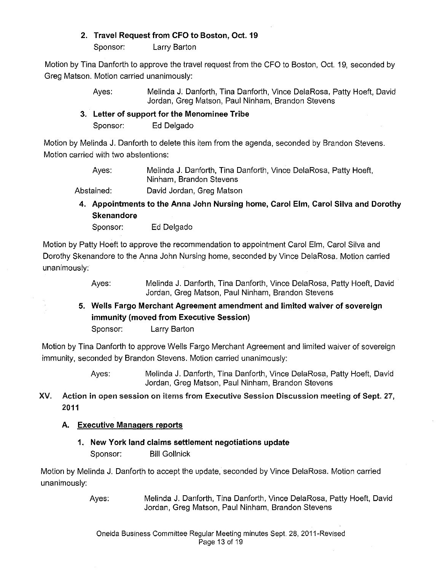## **2. Travel Request from CFO to Boston, Oct. 19**

Sponsor: Larry Barton

Motion by Tina Danforth to approve the travel request from the CFO to Boston, Oct. 19, seconded by Greg Matson. Motion carried unanimously:

> Ayes: Melinda J. Danforth, Tina Danforth, Vince DelaRosa, Patty Hoeft, David Jordan, Greg Matson, Paul Ninham, Brandon Stevens

**3. Letter of support for the Menominee Tribe**  Sponsor: Ed Delgado

Motion by Melinda J. Danforth to delete this item from the agenda, seconded by Brandon Stevens. Motion carried with two abstentions:

Ayes: Abstained: Melinda J. Danforth, Tina Danforth, Vince DelaRosa, Patty Hoeft, Ninham, Brandon Stevens David Jordan, Greg Matson

**4. Appointments to the Anna John Nursing home, Carol Elm, Carol Silva and Dorothy Skenandore** 

Sponsor: Ed Delgado

Motion by Patty Hoeft to approve the recommendation to appointment Carol Elm, Carol Silva and Dorothy Skenandore to the Anna John Nursing home, seconded by Vince DelaRosa. Motion carried unanimously:

> Ayes: Melinda J. Danforth, Tina Danforth, Vince DelaRosa, Patty Hoeft, David Jordan, Greg Matson, Paul Ninham, Brandon Stevens

**5. Wells Fargo Merchant Agreement amendment and limited waiver of sovereign immunity (moved from Executive Session)** 

Sponsor: Larry Barton

Motion by Tina Danforth to approve Wells Fargo Merchant Agreement and limited waiver of sovereign immunity, seconded by Brandon Stevens. Motion carried unanimously:

> Ayes: Melinda J. Danforth, Tina Danforth, Vince DelaRosa, Patty Hoeft, David Jordan, Greg Matson, Paul Ninham, Brandon Stevens

XV. Action in open session on items from Executive Session Discussion meeting of Sept. 27, 2011

## **A. Executive Managers reports**

**1. New York land claims settlement negotiations update**  Sponsor: Bill Gollnick

Motion by Melinda J. Danforth to accept the update, seconded by Vince DelaRosa. Motion carried unanimously: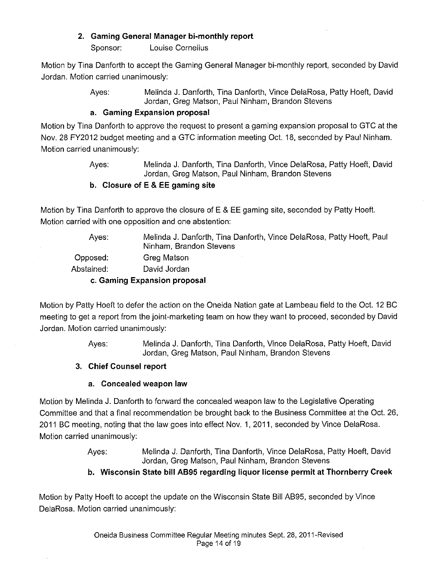## **2. Gaming General Manager bi-monthly report**

Sponsor: Louise Cornelius

Motion by Tina Danforth to accept the Gaming General Manager bi-monthly report, seconded by David Jordan. Motion carried unanimously:

> Ayes: Melinda J. Danforth, Tina Danforth, Vince DelaRosa, Patty Hoeft, David Jordan, Greg Matson, Paul Ninham, Brandon Stevens

#### **a. Gaming Expansion proposal**

Motion by Tina Danforth to approve the request to present a gaming expansion proposal to GTC at the Nov. 28 FY2012 budget meeting and a GTC information meeting Oct. 18, seconded by Paul Ninham. Motion carried unanimously:

> Ayes: Melinda J. Danforth, Tina Danforth, Vince DelaRosa, Patty Hoeft, David Jordan, Greg Matson, Paul Ninham, Brandon Stevens

#### **b. Closure of E & EE gaming site**

Motion by Tina Danforth to approve the closure of E & EE gaming site, seconded by Patty Hoeft. Motion carried with one opposition and one abstention:

Ayes: Opposed: Abstained: Melinda J. Danforth, Tina Danforth, Vince DelaRosa, Patty Hoeft, Paul Ninham, Brandon Stevens Greg Matson David Jordan **c. Gaming Expansion proposal** 

Motion by Patty Hoeft to defer the action on the Oneida Nation gate at Lambeau field to the Oct. 12 BC meeting to get a report from the joint-marketing team on how they want to proceed, seconded by David Jordan. Motion carried unanimously:

> Ayes: Melinda J. Danforth, Tina Danforth, Vince DelaRosa, Patty Hoeft, David Jordan, Greg Matson, Paul Ninham, Brandon Stevens

## **3. Chief Counsel report**

## **a. Concealed weapon law**

Motion by Melinda J. Danforth to forward the concealed weapon law to the Legislative Operating Committee and that a final recommendation be brought back to the Business Committee at the Oct. 26, 2011 BC meeting, noting that the law goes into effect Nov. 1, 2011, seconded by Vince DelaRosa. Motion carried unanimously:

> Ayes: Melinda J. Danforth, Tina Danforth, Vince DelaRosa, Patty Hoeft, David Jordan, Greg Matson, Paul Ninham, Brandon Stevens

## **b. Wisconsin State bill AB95 regarding liquor license permit at Thornberry Creek**

Motion by Patty Hoeft to accept the update on the Wisconsin State Bill AB95, seconded by Vince DelaRosa. Motion carried unanimously: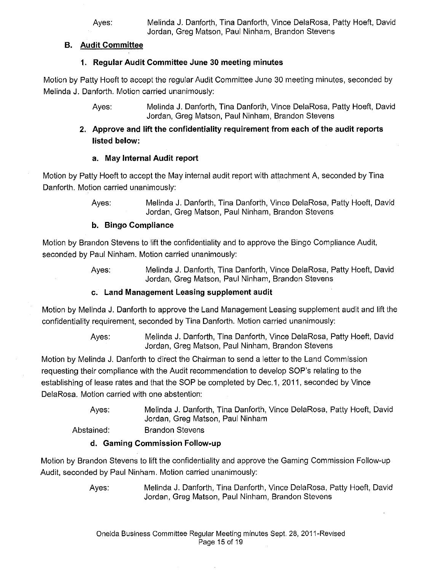#### **B. Audit Committee**

## **1. Regular Audit Committee June 30 meeting minutes**

Motion by Patty Hoeft to accept the regular Audit Committee June 30 meeting minutes, seconded by Melinda J. Danforth. Motion carried unanimously:

> Ayes: Melinda J. Danforth, Tina Danforth, Vince DelaRosa, Patty Hoeft, David Jordan, Greg Matson, Paul Ninham, Brandon Stevens

## **2. Approve and lift the confidentiality requirement from each of the audit reports listed below:**

## **a. May Internal Audit report**

Motion by Patty Hoeft to accept the May internal audit report with attachment A, seconded by Tina Danforth. Motion carried unanimously:

> Ayes: Melinda J. Danforth, Tina Danforth, Vince DelaRosa, Patty Hoeft, David Jordan, Greg Matson, Paul Ninham, Brandon Stevens

## **b. Bingo Compliance**

Motion by Brandon Stevens to lift the confidentiality and to approve the Bingo Compliance Audit, seconded by Paul Ninham. Motion carried unanimously:

> Ayes: Melinda J. Danforth, Tina Danforth, Vince DelaRosa, Patty Hoeft, David Jordan, Greg Matson, Paul Ninham, Brandon Stevens

## **c. Land Management Leasing supplement audit**

Motion by Melinda J. Danforth to approve the Land Management Leasing supplement audit and lift the confidentiality requirement, seconded by Tina Danforth. Motion carried unanimously:

> Ayes: Melinda J. Danforth, Tina Danforth, Vince DelaRosa, Patty Hoeft, David Jordan, Greg Matson, Paul Ninham, Brandon Stevens

Motion by Melinda J. Danforth to direct the Chairman to send a letter to the Land Commission requesting their compliance with the Audit recommendation to develop SOP's relating to the establishing of lease rates and that the SOP be completed by Dec.1, 2011, seconded by Vince DelaRosa. Motion carried with one abstention:

> Ayes: Melinda J. Danforth, Tina Danforth, Vince DelaRosa, Patty Hoeft, David Jordan, Greg Matson, Paul Ninham

Abstained: Brandon Stevens

## **d. Gaming Commission Follow-up**

Motion by Brandon Stevens to lift the confidentiality and approve the Gaming Commission Follow-up Audit, seconded by Paul Ninham. Motion carried unanimously: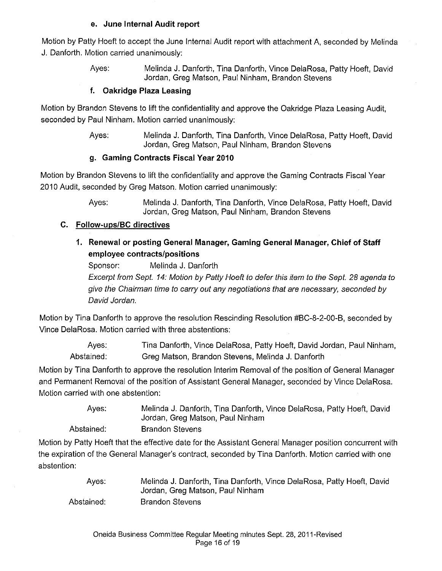#### **e. June Internal Audit report**

Motion by Patty Hoeft to accept the June Internal Audit report with attachment A, seconded by Melinda J. Danforth. Motion carried unanimously:

> Ayes: Melinda **J.** Danforth, Tina Danforth, Vince DelaRosa, Patty Hoeft, David Jordan, Greg Matson, Paul Ninham, Brandon Stevens

#### **f. Oakridge Plaza Leasing**

Motion by Brandon Stevens to lift the confidentiality and approve the Oakridge Plaza Leasing Audit, seconded by Paul Ninham. Motion carried unanimously:

> Ayes: Melinda J. Danforth, Tina Danforth, Vince DelaRosa, Patty Hoeft, David Jordan, Greg Matson, Paul Ninham, Brandon Stevens

#### **g. Gaming Contracts Fiscal Year 2010**

Motion by Brandon Stevens to lift the confidentiality and approve the Gaming Contracts Fiscal Year 2010 Audit, seconded by Greg Matson. Motion carried unanimously:

> Ayes: Melinda J. Danforth, Tina Danforth, Vince DelaRosa, Patty Hoeft, David Jordan, Greg Matson, Paul Ninham, Brandon Stevens

## **C. Follow-ups/BC directives**

**1. Renewal or posting General Manager, Gaming General Manager, Chief of Staff employee contracts/positions** 

Sponsor: Melinda **J.** Danforth Excerpt from Sept. 14: Motion by Patty Hoeft to defer this item to the Sept. 28 agenda to give the Chairman time to carry out any negotiations that are necessary, seconded by David Jordan.

Motion by Tina Danforth to approve the resolution Rescinding Resolution #BC-8-2-00-B, seconded by Vince DelaRosa. Motion carried with three abstentions:

Ayes: Abstained: Tina Danforth, Vince DelaRosa, Patty Hoeft, David Jordan, Paul Ninham, Greg Matson, Brandon Stevens, Melinda **J.** Danforth

Motion by Tina Danforth to approve the resolution Interim Removal of the position of General Manager and Permanent Removal of the position of Assistant General Manager, seconded by Vince DelaRosa. Motion carried with one abstention:

> Ayes: Melinda J. Danforth, Tina Danforth, Vince DelaRosa, Patty Hoeft, David Jordan, Greg Matson, Paul Ninham

Abstained: Brandon Stevens

Motion by Patty Hoeft that the effective date for the Assistant General Manager position concurrent with the expiration of the General Manager's contract, seconded by Tina Danforth. Motion carried with one abstention:

| Aves:      | Melinda J. Danforth, Tina Danforth, Vince DelaRosa, Patty Hoeft, David |
|------------|------------------------------------------------------------------------|
|            | Jordan, Greg Matson, Paul Ninham                                       |
| Abstained: | <b>Brandon Stevens</b>                                                 |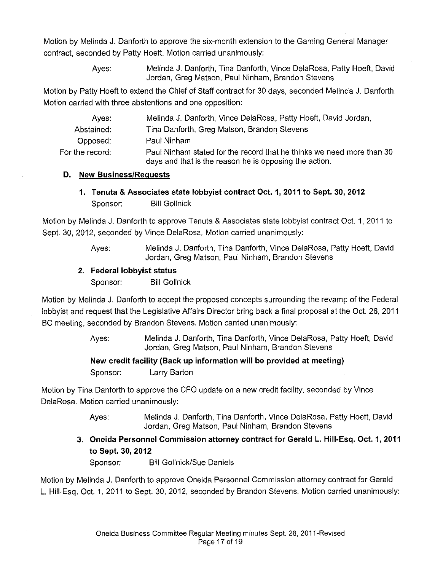Motion by Melinda J. Danforth to approve the six-month extension to the Gaming General Manager contract, seconded by Patty Hoeft. Motion carried unanimously:

> Ayes: Melinda J. Danforth, Tina Danforth, Vince DelaRosa, Patty Hoeft, David Jordan, Greg Matson, Paul Ninham, Brandon Stevens

Motion by Patty Hoeft to extend the Chief of Staff contract for 30 days, seconded Melinda J. Danforth. Motion carried with three abstentions and one opposition:

| Aves:           | Melinda J. Danforth, Vince DelaRosa, Patty Hoeft, David Jordan,                                                                 |
|-----------------|---------------------------------------------------------------------------------------------------------------------------------|
| Abstained:      | Tina Danforth, Greg Matson, Brandon Stevens                                                                                     |
| Opposed:        | Paul Ninham                                                                                                                     |
| For the record: | Paul Ninham stated for the record that he thinks we need more than 30<br>days and that is the reason he is opposing the action. |

#### **D. New Business/Requests**

**1. Tenuta & Associates state lobbyist contract Oct. 1, 2011 to Sept. 30,2012**  Sponsor: Bill Gollnick

Motion by Melinda J. Danforth to approve Tenuta & Associates state lobbyist contract Oct. 1, 2011 to Sept. 30, 2012, seconded by Vince DelaRosa. Motion carried unanimously:

> Ayes: Melinda J. Danforth, Tina Danforth, Vince DelaRosa, Patty Hoeft, David Jordan, Greg Matson, Paul Ninham, Brandon Stevens

#### **2. Federal lobbyist status**

Sponsor: Bill Gollnick

Motion by Melinda J. Danforth to accept the proposed concepts surrounding the revamp of the Federal lobbyist and request that the Legislative Affairs Director bring back a final proposal at the Oct. 26, 2011 BC meeting, seconded by Brandon Stevens. Motion carried unanimously:

> Ayes: Melinda J. Danforth, Tina Danforth, Vince DelaRosa, Patty Hoeft, David Jordan, Greg Matson, Paul Ninham, Brandon Stevens

## **New credit facility (Back up information will be provided at meeting)**  Sponsor: Larry Barton

Motion by Tina Danforth to approve the CFO update on a new credit facility, seconded by Vince DelaRosa. Motion carried unanimously:

> Ayes: Melinda J. Danforth, Tina Danforth, Vince DelaRosa, Patty Hoeft, David Jordan, Greg Matson, Paul Ninham, Brandon Stevens

**3. Oneida Personnel Commission attorney contract for Gerald L. Hiii-Esq. Oct. 1, 2011 to Sept. 30, 2012** 

Sponsor: Bill Gollnick/Sue Daniels

Motion by Melinda J. Danforth to approve Oneida Personnel Commission attorney contract for Gerald L. Hiii-Esq. Oct. 1, 2011 to Sept. 30, 2012, seconded by Brandon Stevens. Motion carried unanimously: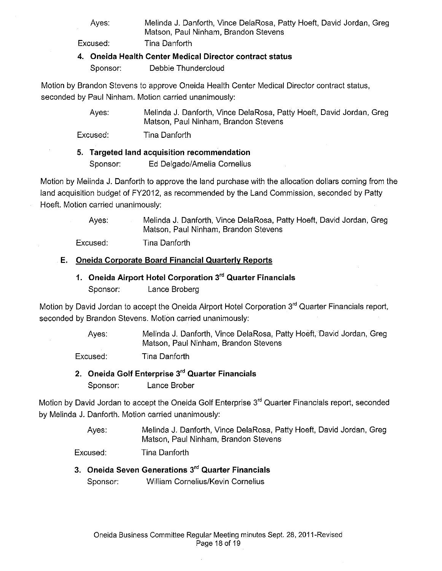Ayes:

Melinda J. Danforth, Vince DelaRosa, Patty Hoeft, David Jordan, Greg Matson, Paul Ninham, Brandon Stevens Tina Danforth

Excused:

#### **4. Oneida Health Center Medical Director contract status**

Sponsor: Debbie Thundercloud

Motion by Brandon Stevens to approve Oneida Health Center Medical Director contract status, seconded by Paul Ninham. Motion carried unanimously:

> Ayes: Melinda J. Danforth, Vince DelaRosa, Patty Hoeft, David Jordan, Greg Matson, Paul Ninham, Brandon Stevens

Excused: Tina Danforth

## **5. Targeted land acquisition recommendation**

Sponsor: Ed Delgado/Amelia Cornelius

Motion by Melinda J. Danforth to approve the land purchase with the allocation dollars coming from the land acquisition budget of FY2012, as recommended by the Land Commission, seconded by Patty Hoeft. Motion carried unanimously:

> Ayes: Melinda J. Danforth, Vince DelaRosa, Patty Hoeft, David Jordan, Greg Matson, Paul Ninham, Brandon Stevens

Excused: Tina Danforth

## **E. Oneida Corporate Board Financial Quarterly Reports**

**1. Oneida Airport Hotel Corporation** 3'" **Quarter Financials**  Sponsor: Lance Broberg

Motion by David Jordan to accept the Oneida Airport Hotel Corporation 3<sup>rd</sup> Quarter Financials report, seconded by Brandon Stevens. Motion carried unanimously:

> Ayes: Melinda J. Danforth, Vince DelaRosa, Patty Hoeft, David Jordan, Greg Matson, Paul Ninham, Brandon Stevens

Excused: Tina Danforth

**2. Oneida Golf Enterprise** 3'" **Quarter Financials**  Sponsor: Lance Brober

Motion by David Jordan to accept the Oneida Golf Enterprise 3<sup>rd</sup> Quarter Financials report, seconded by Melinda J. Danforth. Motion carried unanimously:

> Ayes: Melinda J. Danforth, Vince DelaRosa, Patty Hoeft, David Jordan, Greg Matson, Paul Ninham, Brandon Stevens

Excused: Tina Danforth

**3. Oneida Seven Generations** 3'" **Quarter Financials**  Sponsor: William Cornelius/Kevin Cornelius